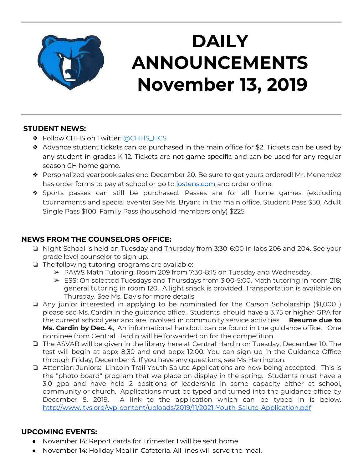

## **DAILY ANNOUNCEMENTS November 13, 2019**

#### **STUDENT NEWS:**

- ❖ Follow CHHS on Twitter: [@CHHS\\_HCS](https://twitter.com/CHHS_HCS)
- ❖ Advance student tickets can be purchased in the main office for \$2. Tickets can be used by any student in grades K-12. Tickets are not game specific and can be used for any regular season CH home game.
- ❖ Personalized yearbook sales end December 20. Be sure to get yours ordered! Mr. Menendez has order forms to pay at school or go to [jostens.com](http://jostens.com/) and order online.
- ❖ Sports passes can still be purchased. Passes are for all home games (excluding tournaments and special events) See Ms. Bryant in the main office. Student Pass \$50, Adult Single Pass \$100, Family Pass (household members only) \$225

### **NEWS FROM THE COUNSELORS OFFICE:**

- ❏ Night School is held on Tuesday and Thursday from 3:30-6:00 in labs 206 and 204. See your grade level counselor to sign up.
- ❏ The following tutoring programs are available:
	- $\triangleright$  PAWS Math Tutoring: Room 209 from 7:30-8:15 on Tuesday and Wednesday.
	- ➢ ESS: On selected Tuesdays and Thursdays from 3:00-5:00. Math tutoring in room 218; general tutoring in room 120. A light snack is provided. Transportation is available on Thursday. See Ms. Davis for more details
- ❏ Any junior interested in applying to be nominated for the Carson Scholarship (\$1,000 ) please see Ms. Cardin in the guidance office. Students should have a 3.75 or higher GPA for the current school year and are involved in community service activities. **Resume due to Ms. Cardin by Dec. 4,** An informational handout can be found in the guidance office. One nominee from Central Hardin will be forwarded on for the competition.
- ❏ The ASVAB will be given in the library here at Central Hardin on Tuesday, December 10. The test will begin at appx 8:30 and end appx 12:00. You can sign up in the Guidance Office through Friday, December 6. If you have any questions, see Ms Harrington.
- ❏ Attention Juniors: Lincoln Trail Youth Salute Applications are now being accepted. This is the "photo board" program that we place on display in the spring. Students must have a 3.0 gpa and have held 2 positions of leadership in some capacity either at school, community or church. Applications must be typed and turned into the guidance office by December 5, 2019. A link to the application which can be typed in is below. <http://www.ltys.org/wp-content/uploads/2019/11/2021-Youth-Salute-Application.pdf>

### **UPCOMING EVENTS:**

- November 14: Report cards for Trimester 1 will be sent home
- November 14: Holiday Meal in Cafeteria. All lines will serve the meal.